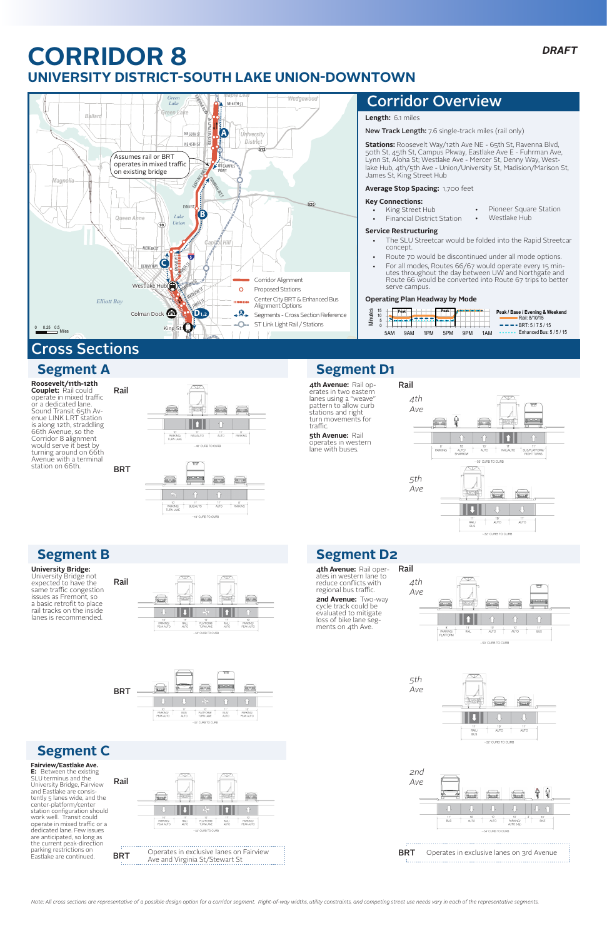**Roosevelt/11th-12th Couplet:** Rail could operate in mixed traffic or a dedicated lane.<br>Sound Transit 65th Avenue LINK LRT station is along 12th, straddling 66th Avenue, so the Corridor 8 alignment would serve it best by turning around on 66th Avenue with a terminal station on 66th.

**BRT** 

## **Segment A**

# **CORRIDOR 8 UNIVERSITY DISTRICT-SOUTH LAKE UNION-DOWNTOWN C8**



- The SLU Streetcar would be folded into the Rapid Streetcar concept.
- Route 70 would be discontinued under all mode options.
- For all modes, Routes 66/67 would operate every 15 minutes throughout the day between UW and Northgate and Route 66 would be converted into Route 67 trips to better serve campus.

## **Length:** 6.1 miles

New Track Length: 7.6 single-track miles (rail only)

**Stations:** Roosevelt Way/12th Ave NE - 65th St, Ravenna Blvd, 50th St, 45th St, Campus Pkway, Eastlake Ave E - Fuhrman Ave, Lynn St, Aloha St; Westlake Ave - Mercer St, Denny Way, Westlake Hub, 4th/5th Ave - Union/University St, Madision/Marison St, James St, King Street Hub

## **Average Stop Spacing:** 1,700 feet

### **Key Connections:**

Pioneer Square Station

Westlake Hub

King Street Hub **Financial District Station** 

## **Service Restructuring**

### **Operating Plan Headway by Mode**

## Corridor Overview

Rail



PARKING/<br>TURN LANE

**University Bridge:** 

University Bridge not expected to have the same traffic congestion issues as Fremont, so a basic retrofit to place rail tracks on the inside lanes is recommended.

## **Segment B**





AUTO

-40' CURB TO CURB

PARKING

#### **Fairview/Eastlake Ave.**

**E:** Between the existing SLU terminus and the University Bridge, Fairview and Eastlake are consistently 5 lanes wide, and the center-platform/center station configuration should work well. Transit could operate in mixed traffic or a dedicated lane. Few issues are anticipated, so long as the current peak-direction parking restrictions on Eastlake are continued.

## **Segment C**





# **Segment D1**



*5th*

*Ave*





# Cross Sections

**4th Avenue:** Rail op-Rail erates in two eastern lanes using a "weave" *4th* pattern to allow curb *Ave* stations and right turn movements for er **5th Avenue: Rail** operates in western  $\frac{10^7}{\text{AUTO}}$  $\frac{8}{PARKING}$  $\frac{10}{\text{AUTO}}$ lane with buses. -50' CURB TO CURB *5th Ave*



**4th Avenue:** Rail oper- ates in western lane to reduce conflicts with regional bus traffic. **2nd Avenue:** Two-way cycle track could be evaluated to mitigate loss of bike lane segments on 4th Ave.

traffic.

*Note: All cross sections are representative of a possible design option for a corridor segment. Right-of-way widths, utility constraints, and competing street use needs vary in each of the representative segments.*

| ites<br>트 |  |     | Peak       |     | Peak |            |     | Peak / Base / Evening & Weekend<br>Rail: 8/10/15 |
|-----------|--|-----|------------|-----|------|------------|-----|--------------------------------------------------|
|           |  |     |            |     |      |            |     | $\bullet$ $\bullet$ $\bullet$ BRT: 5/7.5/15      |
|           |  | 5AM | <b>9AM</b> | 1PM | 5PM  | <b>9PM</b> | 1AM | $\cdots$ $\cdots$ Enhanced Bus: 5/5/15           |